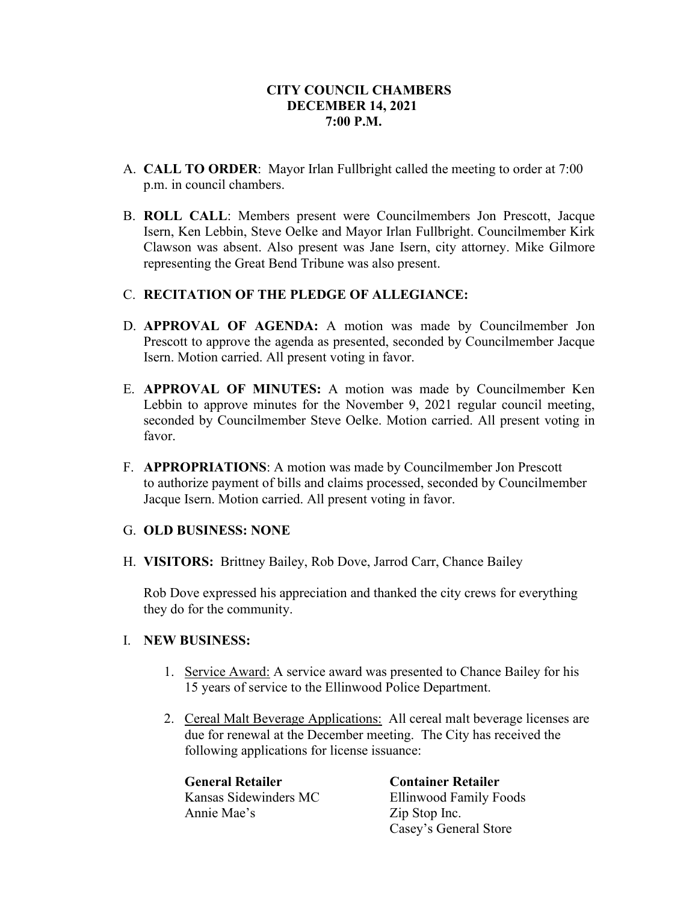### **CITY COUNCIL CHAMBERS DECEMBER 14, 2021 7:00 P.M.**

- A. **CALL TO ORDER**: Mayor Irlan Fullbright called the meeting to order at 7:00 p.m. in council chambers.
- B. **ROLL CALL**: Members present were Councilmembers Jon Prescott, Jacque Isern, Ken Lebbin, Steve Oelke and Mayor Irlan Fullbright. Councilmember Kirk Clawson was absent. Also present was Jane Isern, city attorney. Mike Gilmore representing the Great Bend Tribune was also present.

#### C. **RECITATION OF THE PLEDGE OF ALLEGIANCE:**

- D. **APPROVAL OF AGENDA:** A motion was made by Councilmember Jon Prescott to approve the agenda as presented, seconded by Councilmember Jacque Isern. Motion carried. All present voting in favor.
- E. **APPROVAL OF MINUTES:** A motion was made by Councilmember Ken Lebbin to approve minutes for the November 9, 2021 regular council meeting, seconded by Councilmember Steve Oelke. Motion carried. All present voting in favor.
- F. **APPROPRIATIONS**: A motion was made by Councilmember Jon Prescott to authorize payment of bills and claims processed, seconded by Councilmember Jacque Isern. Motion carried. All present voting in favor.

#### G. **OLD BUSINESS: NONE**

H. **VISITORS:** Brittney Bailey, Rob Dove, Jarrod Carr, Chance Bailey

Rob Dove expressed his appreciation and thanked the city crews for everything they do for the community.

#### I. **NEW BUSINESS:**

- 1. Service Award: A service award was presented to Chance Bailey for his 15 years of service to the Ellinwood Police Department.
- 2. Cereal Malt Beverage Applications: All cereal malt beverage licenses are due for renewal at the December meeting. The City has received the following applications for license issuance:

**General Retailer Container Retailer** Annie Mae's Zip Stop Inc.

Kansas Sidewinders MC Ellinwood Family Foods Casey's General Store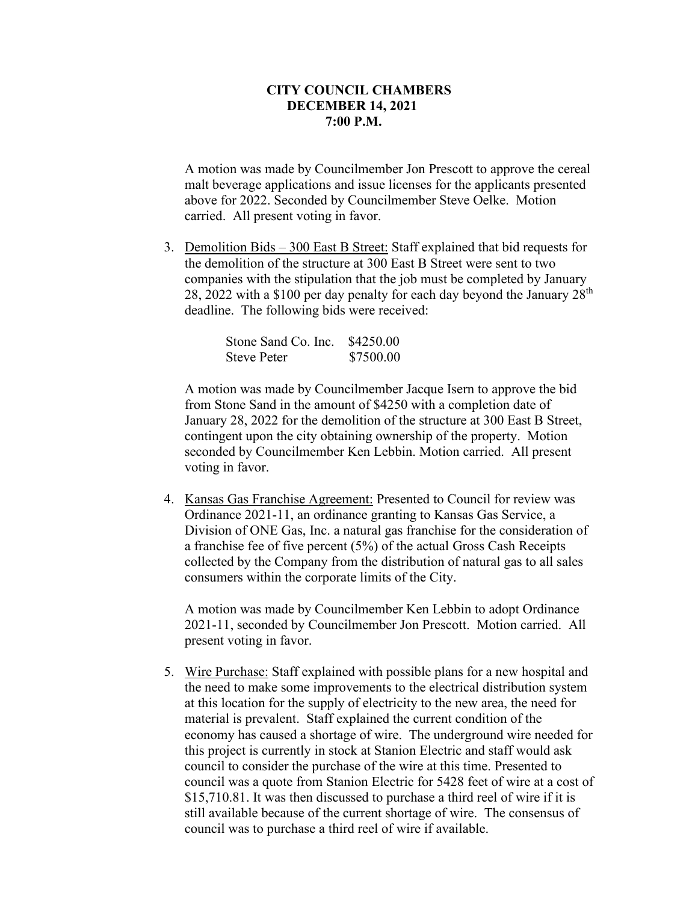#### **CITY COUNCIL CHAMBERS DECEMBER 14, 2021 7:00 P.M.**

A motion was made by Councilmember Jon Prescott to approve the cereal malt beverage applications and issue licenses for the applicants presented above for 2022. Seconded by Councilmember Steve Oelke. Motion carried. All present voting in favor.

3. Demolition Bids – 300 East B Street: Staff explained that bid requests for the demolition of the structure at 300 East B Street were sent to two companies with the stipulation that the job must be completed by January 28, 2022 with a \$100 per day penalty for each day beyond the January  $28<sup>th</sup>$ deadline. The following bids were received:

| Stone Sand Co. Inc. \$4250.00 |           |
|-------------------------------|-----------|
| <b>Steve Peter</b>            | \$7500.00 |

A motion was made by Councilmember Jacque Isern to approve the bid from Stone Sand in the amount of \$4250 with a completion date of January 28, 2022 for the demolition of the structure at 300 East B Street, contingent upon the city obtaining ownership of the property. Motion seconded by Councilmember Ken Lebbin. Motion carried. All present voting in favor.

4. Kansas Gas Franchise Agreement: Presented to Council for review was Ordinance 2021-11, an ordinance granting to Kansas Gas Service, a Division of ONE Gas, Inc. a natural gas franchise for the consideration of a franchise fee of five percent (5%) of the actual Gross Cash Receipts collected by the Company from the distribution of natural gas to all sales consumers within the corporate limits of the City.

A motion was made by Councilmember Ken Lebbin to adopt Ordinance 2021-11, seconded by Councilmember Jon Prescott. Motion carried. All present voting in favor.

5. Wire Purchase: Staff explained with possible plans for a new hospital and the need to make some improvements to the electrical distribution system at this location for the supply of electricity to the new area, the need for material is prevalent. Staff explained the current condition of the economy has caused a shortage of wire. The underground wire needed for this project is currently in stock at Stanion Electric and staff would ask council to consider the purchase of the wire at this time. Presented to council was a quote from Stanion Electric for 5428 feet of wire at a cost of \$15,710.81. It was then discussed to purchase a third reel of wire if it is still available because of the current shortage of wire. The consensus of council was to purchase a third reel of wire if available.